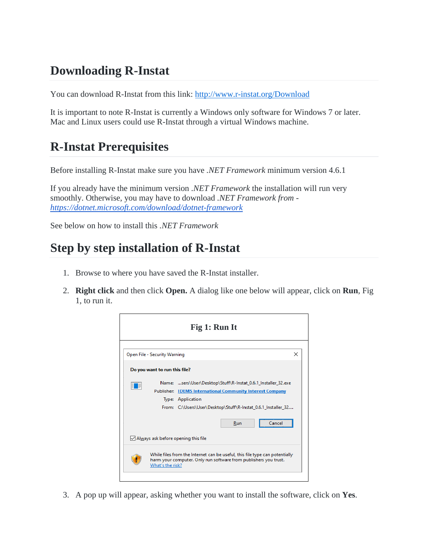## **Downloading R-Instat**

You can download R-Instat from this link: <http://www.r-instat.org/Download>

It is important to note R-Instat is currently a Windows only software for Windows 7 or later. Mac and Linux users could use R-Instat through a virtual Windows machine.

## **R-Instat Prerequisites**

Before installing R-Instat make sure you have *.NET Framework* minimum version 4.6.1

If you already have the minimum version *.NET Framework* the installation will run very smoothly. Otherwise, you may have to download *.NET Framework from <https://dotnet.microsoft.com/download/dotnet-framework>*

See below on how to install this *.NET Framework*

## **Step by step installation of R-Instat**

- 1. Browse to where you have saved the R-Instat installer.
- 2. **Right click** and then click **Open.** A dialog like one below will appear, click on **Run**, Fig 1, to run it.



3. A pop up will appear, asking whether you want to install the software, click on **Yes**.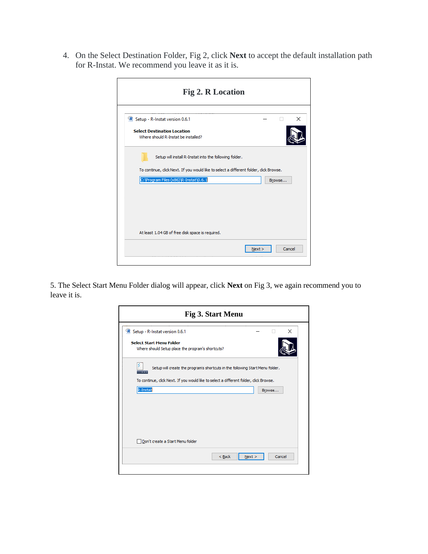4. On the Select Destination Folder, Fig 2, click **Next** to accept the default installation path for R-Instat. We recommend you leave it as it is.

Ē

| <b>Fig 2. R Location</b>                                                                                                                         |      |  |        |          |
|--------------------------------------------------------------------------------------------------------------------------------------------------|------|--|--------|----------|
| R Setup - R-Instat version 0.6.1                                                                                                                 |      |  |        | $\times$ |
| <b>Select Destination Location</b><br>Where should R-Instat be installed?                                                                        |      |  |        |          |
| Setup will install R-Instat into the following folder.<br>To continue, click Next. If you would like to select a different folder, click Browse. |      |  |        |          |
| C: \Program Files (x86)\R-Instat\0.6.1                                                                                                           |      |  | Browse |          |
|                                                                                                                                                  |      |  |        |          |
| At least 1.04 GB of free disk space is required.                                                                                                 |      |  |        |          |
|                                                                                                                                                  | Next |  | Cancel |          |

5. The Select Start Menu Folder dialog will appear, click **Next** on Fig 3, we again recommend you to leave it is.

| R Setup - R-Instat version 0.6.1                                                     | ×                                                                                                                                                                       |
|--------------------------------------------------------------------------------------|-------------------------------------------------------------------------------------------------------------------------------------------------------------------------|
| <b>Select Start Menu Folder</b><br>Where should Setup place the program's shortcuts? |                                                                                                                                                                         |
|                                                                                      | Setup will create the program's shortcuts in the following Start Menu folder.<br>To continue, click Next. If you would like to select a different folder, click Browse. |
| R-Instat                                                                             | Browse                                                                                                                                                                  |
|                                                                                      |                                                                                                                                                                         |
|                                                                                      |                                                                                                                                                                         |
|                                                                                      |                                                                                                                                                                         |
|                                                                                      |                                                                                                                                                                         |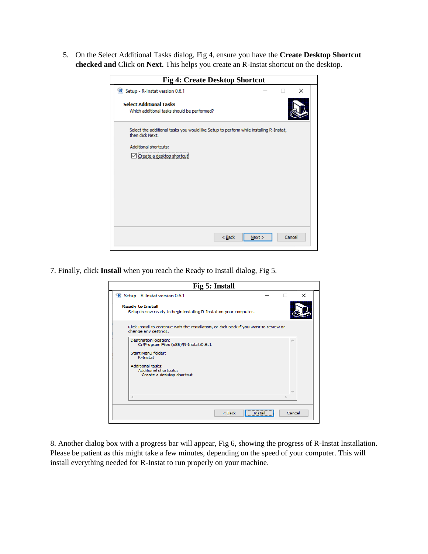5. On the Select Additional Tasks dialog, Fig 4, ensure you have the **Create Desktop Shortcut checked and** Click on **Next.** This helps you create an R-Instat shortcut on the desktop.

| <b>Fig 4: Create Desktop Shortcut</b>                                                                      |      |        |
|------------------------------------------------------------------------------------------------------------|------|--------|
| R Setup - R-Instat version 0.6.1                                                                           |      | ×      |
| <b>Select Additional Tasks</b><br>Which additional tasks should be performed?                              |      |        |
| Select the additional tasks you would like Setup to perform while installing R-Instat,<br>then click Next. |      |        |
| Additional shortcuts:                                                                                      |      |        |
| Create a desktop shortcut                                                                                  |      |        |
|                                                                                                            |      |        |
|                                                                                                            |      |        |
|                                                                                                            |      |        |
|                                                                                                            |      |        |
| $<$ Back                                                                                                   | Next | Cancel |

7. Finally, click **Install** when you reach the Ready to Install dialog, Fig 5.

|                                                                                                                     |                                                                                         | Fig 5: Install |         |                             |
|---------------------------------------------------------------------------------------------------------------------|-----------------------------------------------------------------------------------------|----------------|---------|-----------------------------|
| R Setup - R-Instat version 0.6.1                                                                                    |                                                                                         |                |         | $\times$                    |
| <b>Ready to Install</b>                                                                                             | Setup is now ready to begin installing R-Instat on your computer.                       |                |         |                             |
| change any settings.                                                                                                | Click Install to continue with the installation, or click Back if you want to review or |                |         |                             |
| Destination location:<br>Start Menu folder:<br>R-Instat<br><b>Additional tasks:</b><br><b>Additional shortcuts:</b> | C: \Program Files (x86)\R-Instat\0.6.1<br>Create a desktop shortcut                     |                |         | $\mathcal{L}_{\mathcal{N}}$ |
| $\lt$                                                                                                               |                                                                                         | $<$ Back       | Install | Cancel                      |

8. Another dialog box with a progress bar will appear, Fig 6, showing the progress of R-Instat Installation. Please be patient as this might take a few minutes, depending on the speed of your computer. This will install everything needed for R-Instat to run properly on your machine.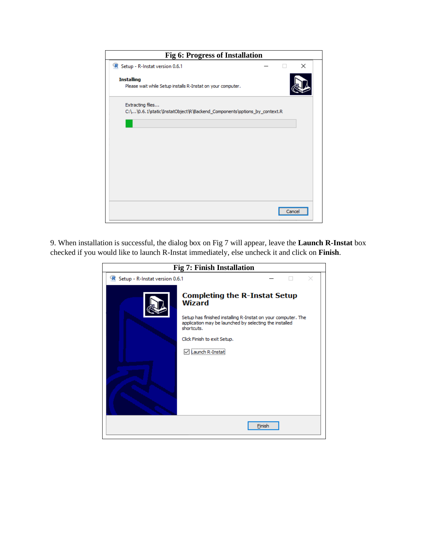| <b>Fig 6: Progress of Installation</b>                                                      |
|---------------------------------------------------------------------------------------------|
| R Setup - R-Instat version 0.6.1<br>×                                                       |
| <b>Installing</b><br>Please wait while Setup installs R-Instat on your computer.            |
| Extracting files<br>C:\\0.6.1\static\InstatObject\R\Backend_Components\options_by_context.R |
|                                                                                             |
|                                                                                             |
|                                                                                             |
|                                                                                             |
| Cancel                                                                                      |

9. When installation is successful, the dialog box on Fig 7 will appear, leave the **Launch R-Instat** box checked if you would like to launch R-Instat immediately, else uncheck it and click on **Finish**.

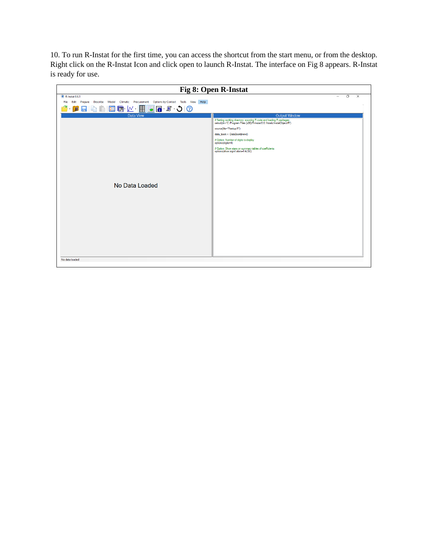10. To run R-Instat for the first time, you can access the shortcut from the start menu, or from the desktop. Right click on the R-Instat Icon and click open to launch R-Instat. The interface on Fig 8 appears. R-Instat is ready for use.

| Fig 8: Open R-Instat                                                                                                |                                                                                                                                                                                                                                                                                                                                                                                                 |  |  |  |  |
|---------------------------------------------------------------------------------------------------------------------|-------------------------------------------------------------------------------------------------------------------------------------------------------------------------------------------------------------------------------------------------------------------------------------------------------------------------------------------------------------------------------------------------|--|--|--|--|
| <b>R</b> R-Instat 0.6.1<br>File Edit Prepare Describe Model Climatic Procurement Options by Context Tools View Help | O<br>$\times$<br>$\overline{\phantom{0}}$                                                                                                                                                                                                                                                                                                                                                       |  |  |  |  |
|                                                                                                                     |                                                                                                                                                                                                                                                                                                                                                                                                 |  |  |  |  |
| <b>Data View</b><br>No Data Loaded                                                                                  | <b>Output Window</b><br># Setting working directory, sourcing R code and loading R packages<br>setwd(dir="C:/Program Files (x86)/R-Instat/0.6.1/static/Instat/Dbject/R")<br>source(file="Rsetup.R")<br>data_book <- DataBook\$new()<br># Option: Number of digits to display<br>options(digits=4)<br># Option: Show stars on summary tables of coefficients<br>options(show.signif.stars=FALSE) |  |  |  |  |
| No data loaded                                                                                                      |                                                                                                                                                                                                                                                                                                                                                                                                 |  |  |  |  |